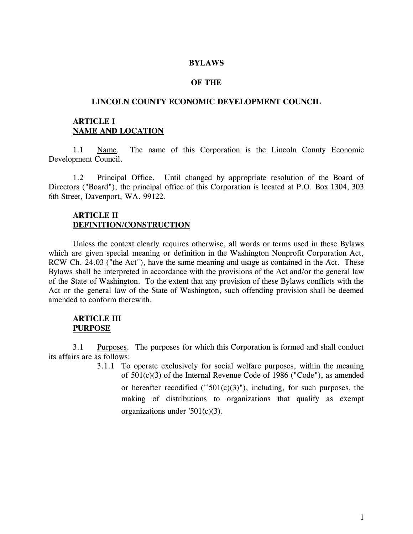#### **BYLAWS**

#### **OF THE**

#### **LINCOLN COUNTY ECONOMIC DEVELOPMENT COUNCIL**

### **ARTICLE I NAME AND LOCATION**

1.1 Name. The name of this Corporation is the Lincoln County Economic Development Council.

1.2 Principal Office. Until changed by appropriate resolution of the Board of Directors ("Board"), the principal office of this Corporation is located at P.O. Box 1304, 303 6th Street, Davenport, WA. 99122.

#### **ARTICLE II DEFINITION/CONSTRUCTION**

Unless the context clearly requires otherwise, all words or terms used in these Bylaws which are given special meaning or definition in the Washington Nonprofit Corporation Act, RCW Ch. 24.03 ("the Act"), have the same meaning and usage as contained in the Act. These Bylaws shall be interpreted in accordance with the provisions of the Act and/or the general law of the State of Washington. To the extent that any provision of these Bylaws conflicts with the Act or the general law of the State of Washington, such offending provision shall be deemed amended to conform therewith.

### **ARTICLE III PURPOSE**

3.1 Purposes. The purposes for which this Corporation is formed and shall conduct its affairs are as follows:

> 3.1.1 To operate exclusively for social welfare purposes, within the meaning of 501(c)(3) of the Internal Revenue Code of 1986 ("Code"), as amended or hereafter recodified (" $501(c)(3)$ "), including, for such purposes, the making of distributions to organizations that qualify as exempt organizations under '501(c)(3).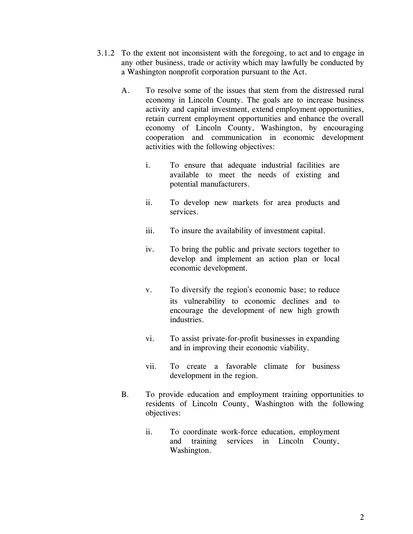- 3.1.2 To the extent not inconsistent with the foregoing, to act and to engage in any other business, trade or activity which may lawfully be conducted by a Washington nonprofit corporation pursuant to the Act.
	- A. To resolve some of the issues that stem from the distressed rural economy in Lincoln County. The goals are to increase business activity and capital investment, extend employment opportunities, retain current employment opportunities and enhance the overall economy of Lincoln County, Washington, by encouraging cooperation and communication in economic development activities with the following objectives:
		- i. To ensure that adequate industrial facilities are available to meet the needs of existing and potential manufacturers.
		- ii. To develop new markets for area products and services.
		- iii. To insure the availability of investment capital.
		- iv. To bring the public and private sectors together to develop and implement an action plan or local economic development.
		- v. To diversify the region's economic base; to reduce its vulnerability to economic declines and to encourage the development of new high growth industries.
		- vi. To assist private-for-profit businesses in expanding and in improving their economic viability.
		- vii. To create a favorable climate for business development in the region.
	- B. To provide education and employment training opportunities to residents of Lincoln County, Washington with the following objectives:
		- ii. To coordinate work-force education, employment and training services in Lincoln County, Washington.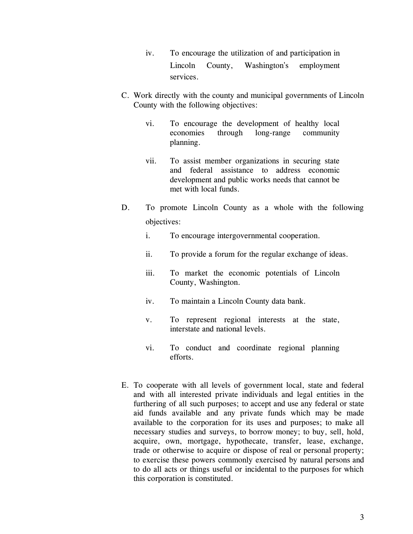- iv. To encourage the utilization of and participation in Lincoln County, Washington's employment services.
- C. Work directly with the county and municipal governments of Lincoln County with the following objectives:
	- vi. To encourage the development of healthy local economies through long-range community planning.
	- vii. To assist member organizations in securing state and federal assistance to address economic development and public works needs that cannot be met with local funds.
- D. To promote Lincoln County as a whole with the following objectives:
	- i. To encourage intergovernmental cooperation.
	- ii. To provide a forum for the regular exchange of ideas.
	- iii. To market the economic potentials of Lincoln County, Washington.
	- iv. To maintain a Lincoln County data bank.
	- v. To represent regional interests at the state, interstate and national levels.
	- vi. To conduct and coordinate regional planning efforts.
- E. To cooperate with all levels of government local, state and federal and with all interested private individuals and legal entities in the furthering of all such purposes; to accept and use any federal or state aid funds available and any private funds which may be made available to the corporation for its uses and purposes; to make all necessary studies and surveys, to borrow money; to buy, sell, hold, acquire, own, mortgage, hypothecate, transfer, lease, exchange, trade or otherwise to acquire or dispose of real or personal property; to exercise these powers commonly exercised by natural persons and to do all acts or things useful or incidental to the purposes for which this corporation is constituted.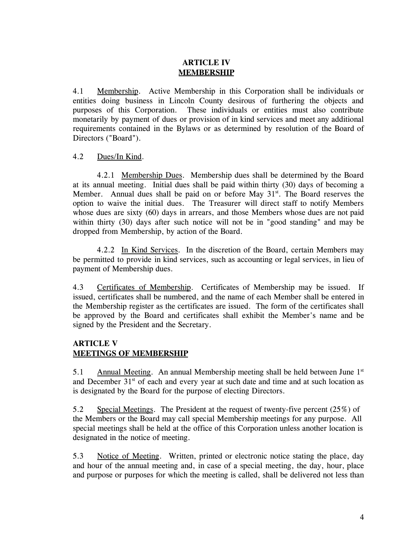# **ARTICLE IV MEMBERSHIP**

4.1 Membership. Active Membership in this Corporation shall be individuals or entities doing business in Lincoln County desirous of furthering the objects and purposes of this Corporation. These individuals or entities must also contribute monetarily by payment of dues or provision of in kind services and meet any additional requirements contained in the Bylaws or as determined by resolution of the Board of Directors ("Board").

# 4.2 Dues/In Kind.

4.2.1 Membership Dues. Membership dues shall be determined by the Board at its annual meeting. Initial dues shall be paid within thirty (30) days of becoming a Member. Annual dues shall be paid on or before May  $31<sup>st</sup>$ . The Board reserves the option to waive the initial dues. The Treasurer will direct staff to notify Members whose dues are sixty (60) days in arrears, and those Members whose dues are not paid within thirty (30) days after such notice will not be in "good standing" and may be dropped from Membership, by action of the Board.

4.2.2 In Kind Services. In the discretion of the Board, certain Members may be permitted to provide in kind services, such as accounting or legal services, in lieu of payment of Membership dues.

4.3 Certificates of Membership. Certificates of Membership may be issued. If issued, certificates shall be numbered, and the name of each Member shall be entered in the Membership register as the certificates are issued. The form of the certificates shall be approved by the Board and certificates shall exhibit the Member's name and be signed by the President and the Secretary.

# **ARTICLE V MEETINGS OF MEMBERSHIP**

5.1 Annual Meeting. An annual Membership meeting shall be held between June 1<sup>st</sup> and December  $31<sup>st</sup>$  of each and every year at such date and time and at such location as is designated by the Board for the purpose of electing Directors.

5.2 Special Meetings. The President at the request of twenty-five percent (25%) of the Members or the Board may call special Membership meetings for any purpose. All special meetings shall be held at the office of this Corporation unless another location is designated in the notice of meeting.

5.3 Notice of Meeting. Written, printed or electronic notice stating the place, day and hour of the annual meeting and, in case of a special meeting, the day, hour, place and purpose or purposes for which the meeting is called, shall be delivered not less than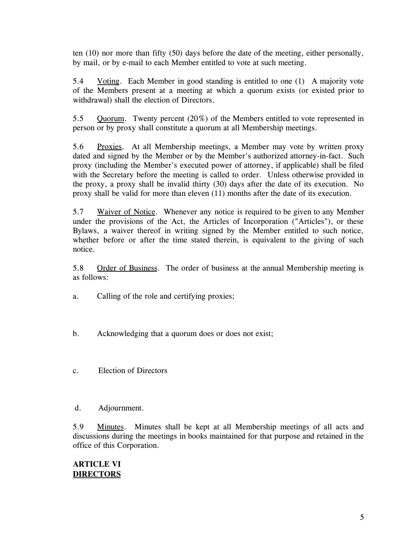ten (10) nor more than fifty (50) days before the date of the meeting, either personally, by mail, or by e-mail to each Member entitled to vote at such meeting.

5.4 Voting. Each Member in good standing is entitled to one (1) A majority vote of the Members present at a meeting at which a quorum exists (or existed prior to withdrawal) shall the election of Directors.

5.5 Quorum. Twenty percent (20%) of the Members entitled to vote represented in person or by proxy shall constitute a quorum at all Membership meetings.

5.6 Proxies. At all Membership meetings, a Member may vote by written proxy dated and signed by the Member or by the Member's authorized attorney-in-fact. Such proxy (including the Member's executed power of attorney, if applicable) shall be filed with the Secretary before the meeting is called to order. Unless otherwise provided in the proxy, a proxy shall be invalid thirty (30) days after the date of its execution. No proxy shall be valid for more than eleven (11) months after the date of its execution.

5.7 Waiver of Notice. Whenever any notice is required to be given to any Member under the provisions of the Act, the Articles of Incorporation ("Articles"), or these Bylaws, a waiver thereof in writing signed by the Member entitled to such notice, whether before or after the time stated therein, is equivalent to the giving of such notice.

5.8 Order of Business. The order of business at the annual Membership meeting is as follows:

- a. Calling of the role and certifying proxies;
- b. Acknowledging that a quorum does or does not exist;
- c. Election of Directors
- d. Adjournment.

5.9 Minutes. Minutes shall be kept at all Membership meetings of all acts and discussions during the meetings in books maintained for that purpose and retained in the office of this Corporation.

### **ARTICLE VI DIRECTORS**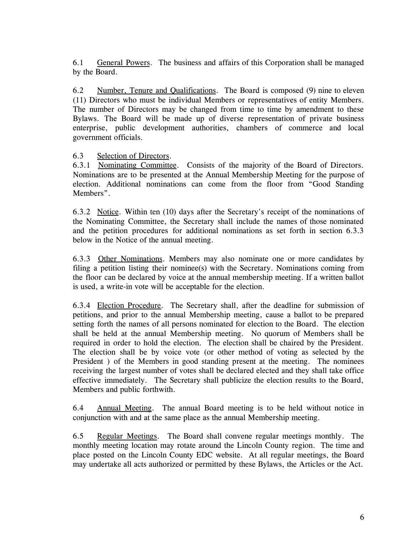6.1 General Powers. The business and affairs of this Corporation shall be managed by the Board.

6.2 Number, Tenure and Qualifications. The Board is composed (9) nine to eleven (11) Directors who must be individual Members or representatives of entity Members. The number of Directors may be changed from time to time by amendment to these Bylaws. The Board will be made up of diverse representation of private business enterprise, public development authorities, chambers of commerce and local government officials.

# 6.3 Selection of Directors.

6.3.1 Nominating Committee. Consists of the majority of the Board of Directors. Nominations are to be presented at the Annual Membership Meeting for the purpose of election. Additional nominations can come from the floor from "Good Standing Members".

6.3.2 Notice. Within ten (10) days after the Secretary's receipt of the nominations of the Nominating Committee, the Secretary shall include the names of those nominated and the petition procedures for additional nominations as set forth in section 6.3.3 below in the Notice of the annual meeting.

6.3.3 Other Nominations. Members may also nominate one or more candidates by filing a petition listing their nominee(s) with the Secretary. Nominations coming from the floor can be declared by voice at the annual membership meeting. If a written ballot is used, a write-in vote will be acceptable for the election.

6.3.4 Election Procedure. The Secretary shall, after the deadline for submission of petitions, and prior to the annual Membership meeting, cause a ballot to be prepared setting forth the names of all persons nominated for election to the Board. The election shall be held at the annual Membership meeting. No quorum of Members shall be required in order to hold the election. The election shall be chaired by the President. The election shall be by voice vote (or other method of voting as selected by the President ) of the Members in good standing present at the meeting. The nominees receiving the largest number of votes shall be declared elected and they shall take office effective immediately. The Secretary shall publicize the election results to the Board, Members and public forthwith.

6.4 Annual Meeting. The annual Board meeting is to be held without notice in conjunction with and at the same place as the annual Membership meeting.

6.5 Regular Meetings. The Board shall convene regular meetings monthly. The monthly meeting location may rotate around the Lincoln County region. The time and place posted on the Lincoln County EDC website. At all regular meetings, the Board may undertake all acts authorized or permitted by these Bylaws, the Articles or the Act.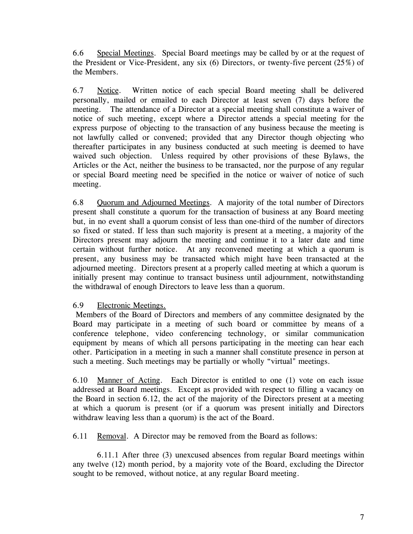6.6 Special Meetings. Special Board meetings may be called by or at the request of the President or Vice-President, any six (6) Directors, or twenty-five percent (25%) of the Members.

6.7 Notice. Written notice of each special Board meeting shall be delivered personally, mailed or emailed to each Director at least seven (7) days before the meeting. The attendance of a Director at a special meeting shall constitute a waiver of notice of such meeting, except where a Director attends a special meeting for the express purpose of objecting to the transaction of any business because the meeting is not lawfully called or convened; provided that any Director though objecting who thereafter participates in any business conducted at such meeting is deemed to have waived such objection. Unless required by other provisions of these Bylaws, the Articles or the Act, neither the business to be transacted, nor the purpose of any regular or special Board meeting need be specified in the notice or waiver of notice of such meeting.

6.8 Quorum and Adjourned Meetings. A majority of the total number of Directors present shall constitute a quorum for the transaction of business at any Board meeting but, in no event shall a quorum consist of less than one-third of the number of directors so fixed or stated. If less than such majority is present at a meeting, a majority of the Directors present may adjourn the meeting and continue it to a later date and time certain without further notice. At any reconvened meeting at which a quorum is present, any business may be transacted which might have been transacted at the adjourned meeting. Directors present at a properly called meeting at which a quorum is initially present may continue to transact business until adjournment, notwithstanding the withdrawal of enough Directors to leave less than a quorum.

# 6.9 Electronic Meetings.

Members of the Board of Directors and members of any committee designated by the Board may participate in a meeting of such board or committee by means of a conference telephone, video conferencing technology, or similar communication equipment by means of which all persons participating in the meeting can hear each other. Participation in a meeting in such a manner shall constitute presence in person at such a meeting. Such meetings may be partially or wholly "virtual" meetings.

6.10 Manner of Acting. Each Director is entitled to one (1) vote on each issue addressed at Board meetings. Except as provided with respect to filling a vacancy on the Board in section 6.12, the act of the majority of the Directors present at a meeting at which a quorum is present (or if a quorum was present initially and Directors withdraw leaving less than a quorum) is the act of the Board.

6.11 Removal. A Director may be removed from the Board as follows:

6.11.1 After three (3) unexcused absences from regular Board meetings within any twelve (12) month period, by a majority vote of the Board, excluding the Director sought to be removed, without notice, at any regular Board meeting.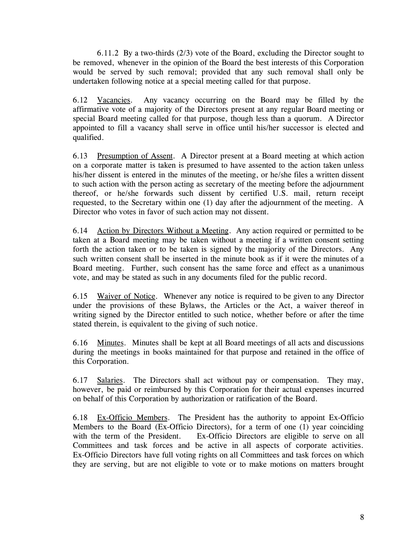6.11.2 By a two-thirds (2/3) vote of the Board, excluding the Director sought to be removed, whenever in the opinion of the Board the best interests of this Corporation would be served by such removal; provided that any such removal shall only be undertaken following notice at a special meeting called for that purpose.

6.12 Vacancies. Any vacancy occurring on the Board may be filled by the affirmative vote of a majority of the Directors present at any regular Board meeting or special Board meeting called for that purpose, though less than a quorum. A Director appointed to fill a vacancy shall serve in office until his/her successor is elected and qualified.

6.13 Presumption of Assent. A Director present at a Board meeting at which action on a corporate matter is taken is presumed to have assented to the action taken unless his/her dissent is entered in the minutes of the meeting, or he/she files a written dissent to such action with the person acting as secretary of the meeting before the adjournment thereof, or he/she forwards such dissent by certified U.S. mail, return receipt requested, to the Secretary within one (1) day after the adjournment of the meeting. A Director who votes in favor of such action may not dissent.

6.14 Action by Directors Without a Meeting. Any action required or permitted to be taken at a Board meeting may be taken without a meeting if a written consent setting forth the action taken or to be taken is signed by the majority of the Directors. Any such written consent shall be inserted in the minute book as if it were the minutes of a Board meeting. Further, such consent has the same force and effect as a unanimous vote, and may be stated as such in any documents filed for the public record.

6.15 Waiver of Notice. Whenever any notice is required to be given to any Director under the provisions of these Bylaws, the Articles or the Act, a waiver thereof in writing signed by the Director entitled to such notice, whether before or after the time stated therein, is equivalent to the giving of such notice.

6.16 Minutes. Minutes shall be kept at all Board meetings of all acts and discussions during the meetings in books maintained for that purpose and retained in the office of this Corporation.

6.17 Salaries. The Directors shall act without pay or compensation. They may, however, be paid or reimbursed by this Corporation for their actual expenses incurred on behalf of this Corporation by authorization or ratification of the Board.

6.18 Ex-Officio Members. The President has the authority to appoint Ex-Officio Members to the Board (Ex-Officio Directors), for a term of one (1) year coinciding with the term of the President. Ex-Officio Directors are eligible to serve on all Committees and task forces and be active in all aspects of corporate activities. Ex-Officio Directors have full voting rights on all Committees and task forces on which they are serving, but are not eligible to vote or to make motions on matters brought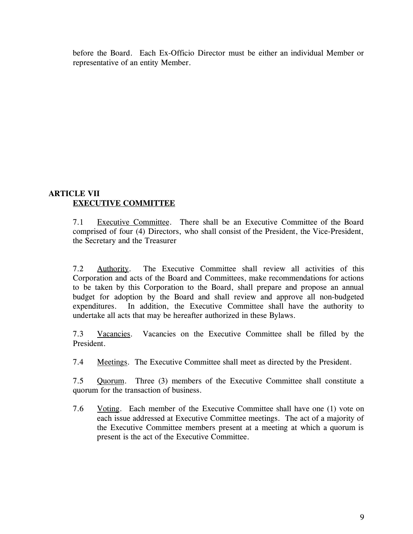before the Board. Each Ex-Officio Director must be either an individual Member or representative of an entity Member.

# **ARTICLE VII EXECUTIVE COMMITTEE**

7.1 Executive Committee. There shall be an Executive Committee of the Board comprised of four (4) Directors, who shall consist of the President, the Vice-President, the Secretary and the Treasurer

7.2 Authority. The Executive Committee shall review all activities of this Corporation and acts of the Board and Committees, make recommendations for actions to be taken by this Corporation to the Board, shall prepare and propose an annual budget for adoption by the Board and shall review and approve all non-budgeted expenditures. In addition, the Executive Committee shall have the authority to undertake all acts that may be hereafter authorized in these Bylaws.

7.3 Vacancies. Vacancies on the Executive Committee shall be filled by the President.

7.4 Meetings. The Executive Committee shall meet as directed by the President.

7.5 Quorum. Three (3) members of the Executive Committee shall constitute a quorum for the transaction of business.

7.6 Voting. Each member of the Executive Committee shall have one (1) vote on each issue addressed at Executive Committee meetings. The act of a majority of the Executive Committee members present at a meeting at which a quorum is present is the act of the Executive Committee.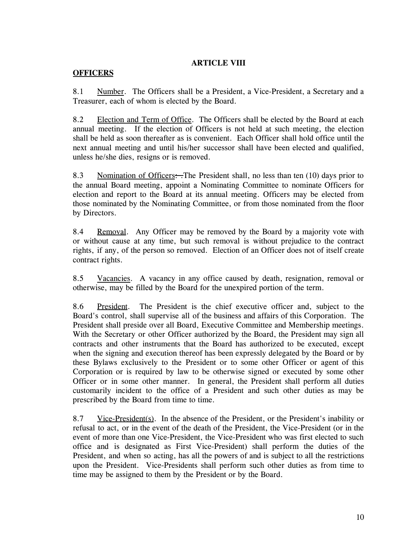# **ARTICLE VIII**

# **OFFICERS**

8.1 Number. The Officers shall be a President, a Vice-President, a Secretary and a Treasurer, each of whom is elected by the Board.

8.2 Election and Term of Office. The Officers shall be elected by the Board at each annual meeting. If the election of Officers is not held at such meeting, the election shall be held as soon thereafter as is convenient. Each Officer shall hold office until the next annual meeting and until his/her successor shall have been elected and qualified, unless he/she dies, resigns or is removed.

8.3 Nomination of Officers: The President shall, no less than ten (10) days prior to the annual Board meeting, appoint a Nominating Committee to nominate Officers for election and report to the Board at its annual meeting. Officers may be elected from those nominated by the Nominating Committee, or from those nominated from the floor by Directors.

8.4 Removal. Any Officer may be removed by the Board by a majority vote with or without cause at any time, but such removal is without prejudice to the contract rights, if any, of the person so removed. Election of an Officer does not of itself create contract rights.

8.5 Vacancies. A vacancy in any office caused by death, resignation, removal or otherwise, may be filled by the Board for the unexpired portion of the term.

8.6 President. The President is the chief executive officer and, subject to the Board's control, shall supervise all of the business and affairs of this Corporation. The President shall preside over all Board, Executive Committee and Membership meetings. With the Secretary or other Officer authorized by the Board, the President may sign all contracts and other instruments that the Board has authorized to be executed, except when the signing and execution thereof has been expressly delegated by the Board or by these Bylaws exclusively to the President or to some other Officer or agent of this Corporation or is required by law to be otherwise signed or executed by some other Officer or in some other manner. In general, the President shall perform all duties customarily incident to the office of a President and such other duties as may be prescribed by the Board from time to time.

8.7 Vice-President(s). In the absence of the President, or the President's inability or refusal to act, or in the event of the death of the President, the Vice-President (or in the event of more than one Vice-President, the Vice-President who was first elected to such office and is designated as First Vice-President) shall perform the duties of the President, and when so acting, has all the powers of and is subject to all the restrictions upon the President. Vice-Presidents shall perform such other duties as from time to time may be assigned to them by the President or by the Board.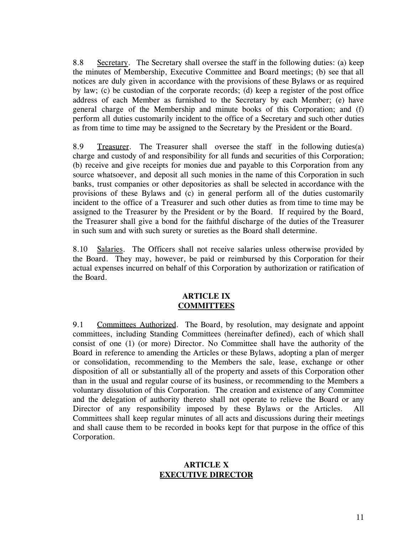8.8 Secretary. The Secretary shall oversee the staff in the following duties: (a) keep the minutes of Membership, Executive Committee and Board meetings; (b) see that all notices are duly given in accordance with the provisions of these Bylaws or as required by law; (c) be custodian of the corporate records; (d) keep a register of the post office address of each Member as furnished to the Secretary by each Member; (e) have general charge of the Membership and minute books of this Corporation; and (f) perform all duties customarily incident to the office of a Secretary and such other duties as from time to time may be assigned to the Secretary by the President or the Board.

8.9 Treasurer. The Treasurer shall oversee the staff in the following duties(a) charge and custody of and responsibility for all funds and securities of this Corporation; (b) receive and give receipts for monies due and payable to this Corporation from any source whatsoever, and deposit all such monies in the name of this Corporation in such banks, trust companies or other depositories as shall be selected in accordance with the provisions of these Bylaws and (c) in general perform all of the duties customarily incident to the office of a Treasurer and such other duties as from time to time may be assigned to the Treasurer by the President or by the Board. If required by the Board, the Treasurer shall give a bond for the faithful discharge of the duties of the Treasurer in such sum and with such surety or sureties as the Board shall determine.

8.10 Salaries. The Officers shall not receive salaries unless otherwise provided by the Board. They may, however, be paid or reimbursed by this Corporation for their actual expenses incurred on behalf of this Corporation by authorization or ratification of the Board.

### **ARTICLE IX COMMITTEES**

9.1 Committees Authorized. The Board, by resolution, may designate and appoint committees, including Standing Committees (hereinafter defined), each of which shall consist of one (1) (or more) Director. No Committee shall have the authority of the Board in reference to amending the Articles or these Bylaws, adopting a plan of merger or consolidation, recommending to the Members the sale, lease, exchange or other disposition of all or substantially all of the property and assets of this Corporation other than in the usual and regular course of its business, or recommending to the Members a voluntary dissolution of this Corporation. The creation and existence of any Committee and the delegation of authority thereto shall not operate to relieve the Board or any Director of any responsibility imposed by these Bylaws or the Articles. All Committees shall keep regular minutes of all acts and discussions during their meetings and shall cause them to be recorded in books kept for that purpose in the office of this Corporation.

### **ARTICLE X EXECUTIVE DIRECTOR**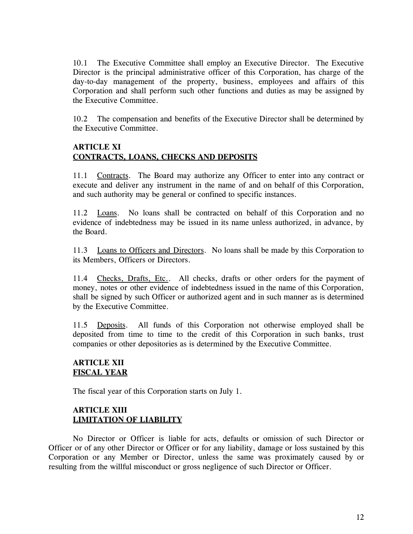10.1 The Executive Committee shall employ an Executive Director. The Executive Director is the principal administrative officer of this Corporation, has charge of the day-to-day management of the property, business, employees and affairs of this Corporation and shall perform such other functions and duties as may be assigned by the Executive Committee.

10.2 The compensation and benefits of the Executive Director shall be determined by the Executive Committee.

# **ARTICLE XI CONTRACTS, LOANS, CHECKS AND DEPOSITS**

11.1 Contracts. The Board may authorize any Officer to enter into any contract or execute and deliver any instrument in the name of and on behalf of this Corporation, and such authority may be general or confined to specific instances.

11.2 Loans. No loans shall be contracted on behalf of this Corporation and no evidence of indebtedness may be issued in its name unless authorized, in advance, by the Board.

11.3 Loans to Officers and Directors. No loans shall be made by this Corporation to its Members, Officers or Directors.

11.4 Checks, Drafts, Etc.. All checks, drafts or other orders for the payment of money, notes or other evidence of indebtedness issued in the name of this Corporation, shall be signed by such Officer or authorized agent and in such manner as is determined by the Executive Committee.

11.5 Deposits. All funds of this Corporation not otherwise employed shall be deposited from time to time to the credit of this Corporation in such banks, trust companies or other depositories as is determined by the Executive Committee.

# **ARTICLE XII FISCAL YEAR**

The fiscal year of this Corporation starts on July 1.

# **ARTICLE XIII LIMITATION OF LIABILITY**

No Director or Officer is liable for acts, defaults or omission of such Director or Officer or of any other Director or Officer or for any liability, damage or loss sustained by this Corporation or any Member or Director, unless the same was proximately caused by or resulting from the willful misconduct or gross negligence of such Director or Officer.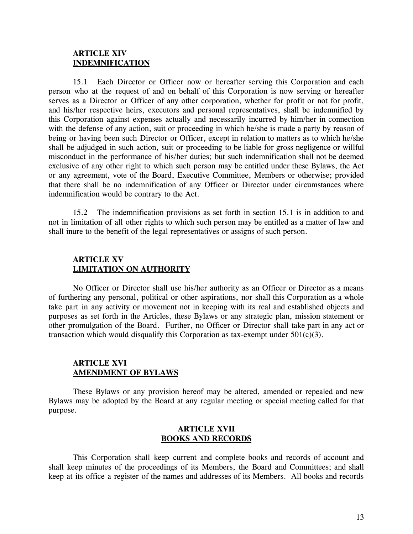### **ARTICLE XIV INDEMNIFICATION**

15.1 Each Director or Officer now or hereafter serving this Corporation and each person who at the request of and on behalf of this Corporation is now serving or hereafter serves as a Director or Officer of any other corporation, whether for profit or not for profit, and his/her respective heirs, executors and personal representatives, shall be indemnified by this Corporation against expenses actually and necessarily incurred by him/her in connection with the defense of any action, suit or proceeding in which he/she is made a party by reason of being or having been such Director or Officer, except in relation to matters as to which he/she shall be adjudged in such action, suit or proceeding to be liable for gross negligence or willful misconduct in the performance of his/her duties; but such indemnification shall not be deemed exclusive of any other right to which such person may be entitled under these Bylaws, the Act or any agreement, vote of the Board, Executive Committee, Members or otherwise; provided that there shall be no indemnification of any Officer or Director under circumstances where indemnification would be contrary to the Act.

15.2 The indemnification provisions as set forth in section 15.1 is in addition to and not in limitation of all other rights to which such person may be entitled as a matter of law and shall inure to the benefit of the legal representatives or assigns of such person.

### **ARTICLE XV LIMITATION ON AUTHORITY**

No Officer or Director shall use his/her authority as an Officer or Director as a means of furthering any personal, political or other aspirations, nor shall this Corporation as a whole take part in any activity or movement not in keeping with its real and established objects and purposes as set forth in the Articles, these Bylaws or any strategic plan, mission statement or other promulgation of the Board. Further, no Officer or Director shall take part in any act or transaction which would disqualify this Corporation as tax-exempt under  $501(c)(3)$ .

### **ARTICLE XVI AMENDMENT OF BYLAWS**

These Bylaws or any provision hereof may be altered, amended or repealed and new Bylaws may be adopted by the Board at any regular meeting or special meeting called for that purpose.

### **ARTICLE XVII BOOKS AND RECORDS**

This Corporation shall keep current and complete books and records of account and shall keep minutes of the proceedings of its Members, the Board and Committees; and shall keep at its office a register of the names and addresses of its Members. All books and records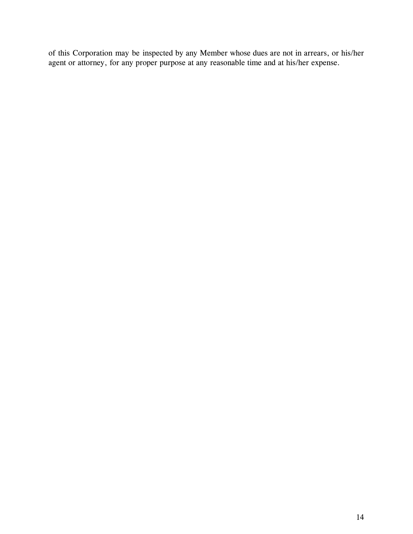of this Corporation may be inspected by any Member whose dues are not in arrears, or his/her agent or attorney, for any proper purpose at any reasonable time and at his/her expense.